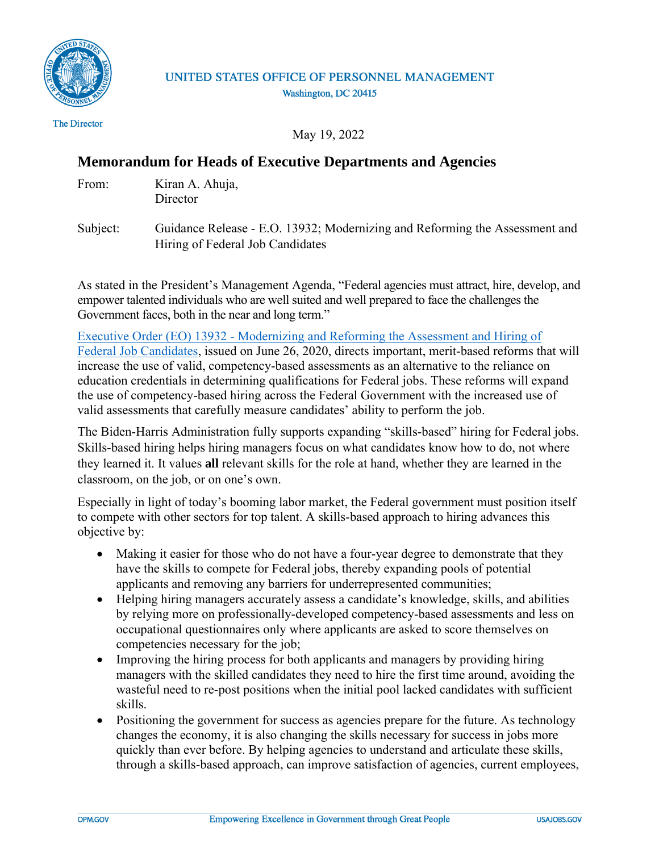

## UNITED STATES OFFICE OF PERSONNEL MANAGEMENT Washington, DC 20415

The Director

May 19, 2022

## **Memorandum for Heads of Executive Departments and Agencies**

| From: | Kiran A. Ahuja, |
|-------|-----------------|
|       |                 |

**Director** 

Subject: Guidance Release - E.O. 13932; Modernizing and Reforming the Assessment and Hiring of Federal Job Candidates

As stated in the President's Management Agenda, "Federal agencies must attract, hire, develop, and empower talented individuals who are well suited and well prepared to face the challenges the Government faces, both in the near and long term."

[Executive Order \(EO\) 13932 - Modernizing and Reforming the Assessment and Hiring of](https://www.govinfo.gov/content/pkg/FR-2020-07-01/pdf/2020-14337.pdf)  [Federal Job Candidates,](https://www.govinfo.gov/content/pkg/FR-2020-07-01/pdf/2020-14337.pdf) issued on June 26, 2020, directs important, merit-based reforms that will increase the use of valid, competency-based assessments as an alternative to the reliance on education credentials in determining qualifications for Federal jobs. These reforms will expand the use of competency-based hiring across the Federal Government with the increased use of valid assessments that carefully measure candidates' ability to perform the job.

The Biden-Harris Administration fully supports expanding "skills-based" hiring for Federal jobs. Skills-based hiring helps hiring managers focus on what candidates know how to do, not where they learned it. It values **all** relevant skills for the role at hand, whether they are learned in the classroom, on the job, or on one's own.

Especially in light of today's booming labor market, the Federal government must position itself to compete with other sectors for top talent. A skills-based approach to hiring advances this objective by:

- Making it easier for those who do not have a four-year degree to demonstrate that they have the skills to compete for Federal jobs, thereby expanding pools of potential applicants and removing any barriers for underrepresented communities;
- Helping hiring managers accurately assess a candidate's knowledge, skills, and abilities by relying more on professionally-developed competency-based assessments and less on occupational questionnaires only where applicants are asked to score themselves on competencies necessary for the job;
- Improving the hiring process for both applicants and managers by providing hiring managers with the skilled candidates they need to hire the first time around, avoiding the wasteful need to re-post positions when the initial pool lacked candidates with sufficient skills.
- Positioning the government for success as agencies prepare for the future. As technology changes the economy, it is also changing the skills necessary for success in jobs more quickly than ever before. By helping agencies to understand and articulate these skills, through a skills-based approach, can improve satisfaction of agencies, current employees,